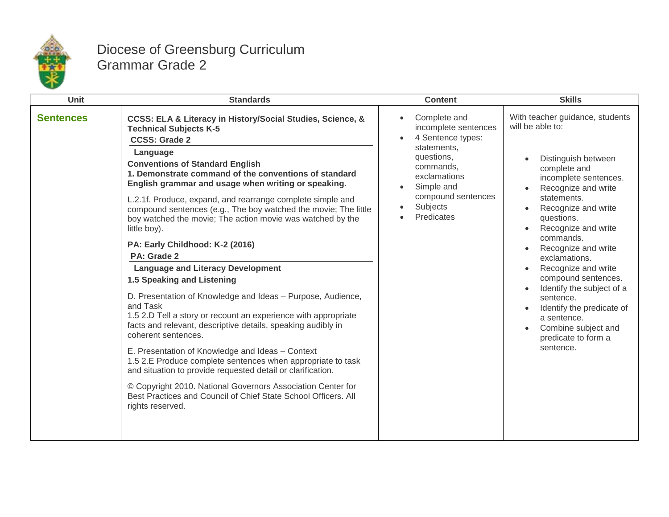

## Diocese of Greensburg Curriculum Grammar Grade 2

| Unit             | <b>Standards</b>                                                                                                                                                                                                                                                                                                                                                                                                                                                                                                                                                                                                                                                                                                                                                                                                                                                                                                                                                                                                                                                                                                                                                                                                | <b>Content</b>                                                                                                                                                                                                                        | <b>Skills</b>                                                                                                                                                                                                                                                                                                                                                                                                                                                                          |
|------------------|-----------------------------------------------------------------------------------------------------------------------------------------------------------------------------------------------------------------------------------------------------------------------------------------------------------------------------------------------------------------------------------------------------------------------------------------------------------------------------------------------------------------------------------------------------------------------------------------------------------------------------------------------------------------------------------------------------------------------------------------------------------------------------------------------------------------------------------------------------------------------------------------------------------------------------------------------------------------------------------------------------------------------------------------------------------------------------------------------------------------------------------------------------------------------------------------------------------------|---------------------------------------------------------------------------------------------------------------------------------------------------------------------------------------------------------------------------------------|----------------------------------------------------------------------------------------------------------------------------------------------------------------------------------------------------------------------------------------------------------------------------------------------------------------------------------------------------------------------------------------------------------------------------------------------------------------------------------------|
| <b>Sentences</b> | CCSS: ELA & Literacy in History/Social Studies, Science, &<br><b>Technical Subjects K-5</b><br><b>CCSS: Grade 2</b><br>Language<br><b>Conventions of Standard English</b><br>1. Demonstrate command of the conventions of standard<br>English grammar and usage when writing or speaking.<br>L.2.1f. Produce, expand, and rearrange complete simple and<br>compound sentences (e.g., The boy watched the movie; The little<br>boy watched the movie; The action movie was watched by the<br>little boy).<br>PA: Early Childhood: K-2 (2016)<br>PA: Grade 2<br><b>Language and Literacy Development</b><br>1.5 Speaking and Listening<br>D. Presentation of Knowledge and Ideas - Purpose, Audience,<br>and Task<br>1.5 2.D Tell a story or recount an experience with appropriate<br>facts and relevant, descriptive details, speaking audibly in<br>coherent sentences.<br>E. Presentation of Knowledge and Ideas - Context<br>1.5 2.E Produce complete sentences when appropriate to task<br>and situation to provide requested detail or clarification.<br>© Copyright 2010. National Governors Association Center for<br>Best Practices and Council of Chief State School Officers, All<br>rights reserved. | Complete and<br>$\bullet$<br>incomplete sentences<br>4 Sentence types:<br>$\bullet$<br>statements,<br>questions,<br>commands,<br>exclamations<br>Simple and<br>$\bullet$<br>compound sentences<br>Subjects<br>$\bullet$<br>Predicates | With teacher guidance, students<br>will be able to:<br>Distinguish between<br>complete and<br>incomplete sentences.<br>Recognize and write<br>statements.<br>Recognize and write<br>questions.<br>Recognize and write<br>$\bullet$<br>commands.<br>Recognize and write<br>exclamations.<br>Recognize and write<br>compound sentences.<br>Identify the subject of a<br>sentence.<br>Identify the predicate of<br>a sentence.<br>Combine subject and<br>predicate to form a<br>sentence. |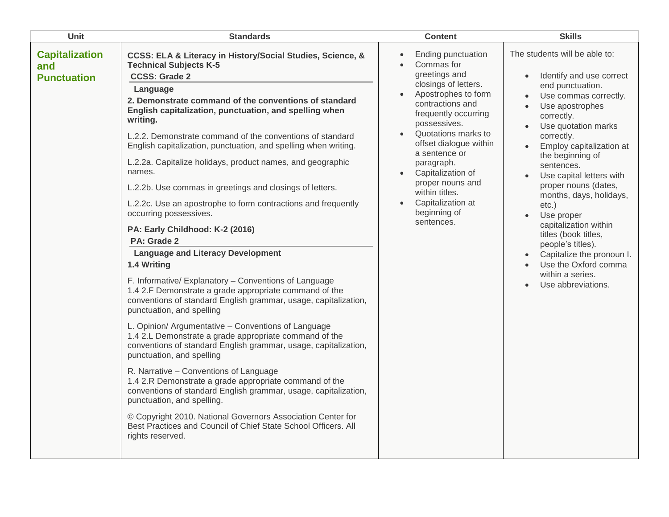| Unit                                               | <b>Standards</b>                                                                                                                                                                                                                                                                                                                                                                                                                                                                                                                                                                                                                                                                                                                                                                                                                                                                                                                                                                                                                                                                                                                                                                                                                                                                                                                                                                                                                                                                                                                        | <b>Content</b>                                                                                                                                                                                                                                                                                                                                                                       | <b>Skills</b>                                                                                                                                                                                                                                                                                                                                                                                                                                                                                                                         |
|----------------------------------------------------|-----------------------------------------------------------------------------------------------------------------------------------------------------------------------------------------------------------------------------------------------------------------------------------------------------------------------------------------------------------------------------------------------------------------------------------------------------------------------------------------------------------------------------------------------------------------------------------------------------------------------------------------------------------------------------------------------------------------------------------------------------------------------------------------------------------------------------------------------------------------------------------------------------------------------------------------------------------------------------------------------------------------------------------------------------------------------------------------------------------------------------------------------------------------------------------------------------------------------------------------------------------------------------------------------------------------------------------------------------------------------------------------------------------------------------------------------------------------------------------------------------------------------------------------|--------------------------------------------------------------------------------------------------------------------------------------------------------------------------------------------------------------------------------------------------------------------------------------------------------------------------------------------------------------------------------------|---------------------------------------------------------------------------------------------------------------------------------------------------------------------------------------------------------------------------------------------------------------------------------------------------------------------------------------------------------------------------------------------------------------------------------------------------------------------------------------------------------------------------------------|
| <b>Capitalization</b><br>and<br><b>Punctuation</b> | CCSS: ELA & Literacy in History/Social Studies, Science, &<br><b>Technical Subjects K-5</b><br><b>CCSS: Grade 2</b><br>Language<br>2. Demonstrate command of the conventions of standard<br>English capitalization, punctuation, and spelling when<br>writing.<br>L.2.2. Demonstrate command of the conventions of standard<br>English capitalization, punctuation, and spelling when writing.<br>L.2.2a. Capitalize holidays, product names, and geographic<br>names.<br>L.2.2b. Use commas in greetings and closings of letters.<br>L.2.2c. Use an apostrophe to form contractions and frequently<br>occurring possessives.<br>PA: Early Childhood: K-2 (2016)<br>PA: Grade 2<br><b>Language and Literacy Development</b><br>1.4 Writing<br>F. Informative/Explanatory - Conventions of Language<br>1.4 2.F Demonstrate a grade appropriate command of the<br>conventions of standard English grammar, usage, capitalization,<br>punctuation, and spelling<br>L. Opinion/ Argumentative - Conventions of Language<br>1.4 2.L Demonstrate a grade appropriate command of the<br>conventions of standard English grammar, usage, capitalization,<br>punctuation, and spelling<br>R. Narrative - Conventions of Language<br>1.4 2.R Demonstrate a grade appropriate command of the<br>conventions of standard English grammar, usage, capitalization,<br>punctuation, and spelling.<br>© Copyright 2010. National Governors Association Center for<br>Best Practices and Council of Chief State School Officers. All<br>rights reserved. | Ending punctuation<br>$\bullet$<br>Commas for<br>greetings and<br>closings of letters.<br>Apostrophes to form<br>$\bullet$<br>contractions and<br>frequently occurring<br>possessives.<br>Quotations marks to<br>offset dialogue within<br>a sentence or<br>paragraph.<br>Capitalization of<br>proper nouns and<br>within titles.<br>Capitalization at<br>beginning of<br>sentences. | The students will be able to:<br>Identify and use correct<br>end punctuation.<br>Use commas correctly.<br>Use apostrophes<br>correctly.<br>Use quotation marks<br>correctly.<br>Employ capitalization at<br>the beginning of<br>sentences.<br>Use capital letters with<br>proper nouns (dates,<br>months, days, holidays,<br>$etc.$ )<br>Use proper<br>capitalization within<br>titles (book titles,<br>people's titles).<br>Capitalize the pronoun I.<br>$\bullet$<br>Use the Oxford comma<br>within a series.<br>Use abbreviations. |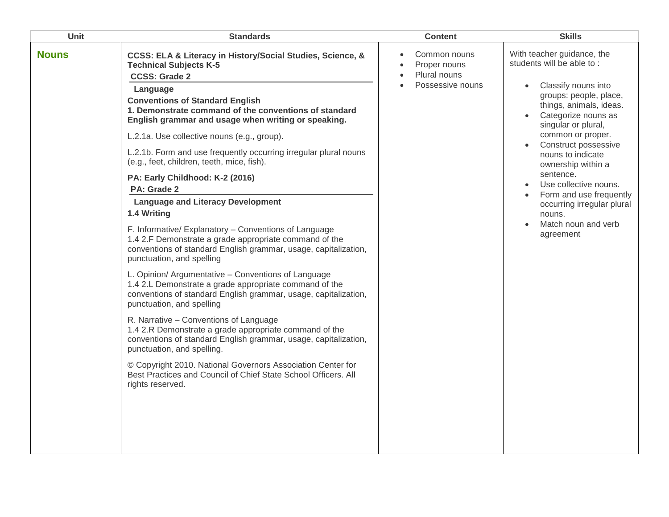| Unit         | <b>Standards</b>                                                                                                                                                                                                                                                                                                                                                                                                                                                                                                                                                                                                                                                                                                                                                                                                                                                                                            | <b>Content</b>                                                                | <b>Skills</b>                                                                                                                                                                                                                                                                                                                                                                                                                       |
|--------------|-------------------------------------------------------------------------------------------------------------------------------------------------------------------------------------------------------------------------------------------------------------------------------------------------------------------------------------------------------------------------------------------------------------------------------------------------------------------------------------------------------------------------------------------------------------------------------------------------------------------------------------------------------------------------------------------------------------------------------------------------------------------------------------------------------------------------------------------------------------------------------------------------------------|-------------------------------------------------------------------------------|-------------------------------------------------------------------------------------------------------------------------------------------------------------------------------------------------------------------------------------------------------------------------------------------------------------------------------------------------------------------------------------------------------------------------------------|
| <b>Nouns</b> | CCSS: ELA & Literacy in History/Social Studies, Science, &<br><b>Technical Subjects K-5</b><br><b>CCSS: Grade 2</b><br>Language<br><b>Conventions of Standard English</b><br>1. Demonstrate command of the conventions of standard<br>English grammar and usage when writing or speaking.<br>L.2.1a. Use collective nouns (e.g., group).<br>L.2.1b. Form and use frequently occurring irregular plural nouns<br>(e.g., feet, children, teeth, mice, fish).<br>PA: Early Childhood: K-2 (2016)<br>PA: Grade 2<br><b>Language and Literacy Development</b><br>1.4 Writing<br>F. Informative/ Explanatory - Conventions of Language<br>1.4 2.F Demonstrate a grade appropriate command of the<br>conventions of standard English grammar, usage, capitalization,<br>punctuation, and spelling<br>L. Opinion/ Argumentative - Conventions of Language<br>1.4 2.L Demonstrate a grade appropriate command of the | Common nouns<br>$\bullet$<br>Proper nouns<br>Plural nouns<br>Possessive nouns | With teacher guidance, the<br>students will be able to:<br>Classify nouns into<br>$\bullet$<br>groups: people, place,<br>things, animals, ideas.<br>Categorize nouns as<br>singular or plural,<br>common or proper.<br>Construct possessive<br>nouns to indicate<br>ownership within a<br>sentence.<br>Use collective nouns.<br>Form and use frequently<br>occurring irregular plural<br>nouns.<br>Match noun and verb<br>agreement |
|              | conventions of standard English grammar, usage, capitalization,<br>punctuation, and spelling<br>R. Narrative - Conventions of Language<br>1.4 2.R Demonstrate a grade appropriate command of the<br>conventions of standard English grammar, usage, capitalization,<br>punctuation, and spelling.<br>© Copyright 2010. National Governors Association Center for<br>Best Practices and Council of Chief State School Officers. All<br>rights reserved.                                                                                                                                                                                                                                                                                                                                                                                                                                                      |                                                                               |                                                                                                                                                                                                                                                                                                                                                                                                                                     |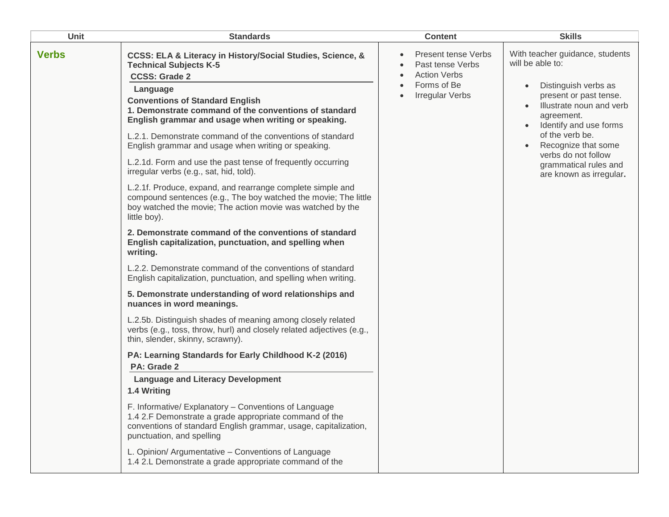| Unit         | <b>Standards</b>                                                                                                                                                                                                                                                                                                                                                                                                                                                                                                                                                                                                                                                                                                                                                                                                                                                                   | <b>Content</b>                                                                                                 | <b>Skills</b>                                                                                                                                                                                                                                                                                  |
|--------------|------------------------------------------------------------------------------------------------------------------------------------------------------------------------------------------------------------------------------------------------------------------------------------------------------------------------------------------------------------------------------------------------------------------------------------------------------------------------------------------------------------------------------------------------------------------------------------------------------------------------------------------------------------------------------------------------------------------------------------------------------------------------------------------------------------------------------------------------------------------------------------|----------------------------------------------------------------------------------------------------------------|------------------------------------------------------------------------------------------------------------------------------------------------------------------------------------------------------------------------------------------------------------------------------------------------|
| <b>Verbs</b> | CCSS: ELA & Literacy in History/Social Studies, Science, &<br><b>Technical Subjects K-5</b><br><b>CCSS: Grade 2</b><br>Language<br><b>Conventions of Standard English</b><br>1. Demonstrate command of the conventions of standard<br>English grammar and usage when writing or speaking.<br>L.2.1. Demonstrate command of the conventions of standard<br>English grammar and usage when writing or speaking.<br>L.2.1d. Form and use the past tense of frequently occurring<br>irregular verbs (e.g., sat, hid, told).<br>L.2.1f. Produce, expand, and rearrange complete simple and<br>compound sentences (e.g., The boy watched the movie; The little<br>boy watched the movie; The action movie was watched by the<br>little boy).<br>2. Demonstrate command of the conventions of standard<br>English capitalization, punctuation, and spelling when                          | <b>Present tense Verbs</b><br>Past tense Verbs<br><b>Action Verbs</b><br>Forms of Be<br><b>Irregular Verbs</b> | With teacher guidance, students<br>will be able to:<br>Distinguish verbs as<br>present or past tense.<br>Illustrate noun and verb<br>agreement.<br>Identify and use forms<br>of the verb be.<br>Recognize that some<br>verbs do not follow<br>grammatical rules and<br>are known as irregular. |
|              | writing.<br>L.2.2. Demonstrate command of the conventions of standard<br>English capitalization, punctuation, and spelling when writing.<br>5. Demonstrate understanding of word relationships and<br>nuances in word meanings.<br>L.2.5b. Distinguish shades of meaning among closely related<br>verbs (e.g., toss, throw, hurl) and closely related adjectives (e.g.,<br>thin, slender, skinny, scrawny).<br>PA: Learning Standards for Early Childhood K-2 (2016)<br>PA: Grade 2<br><b>Language and Literacy Development</b><br>1.4 Writing<br>F. Informative/ Explanatory - Conventions of Language<br>1.4 2.F Demonstrate a grade appropriate command of the<br>conventions of standard English grammar, usage, capitalization,<br>punctuation, and spelling<br>L. Opinion/ Argumentative - Conventions of Language<br>1.4 2.L Demonstrate a grade appropriate command of the |                                                                                                                |                                                                                                                                                                                                                                                                                                |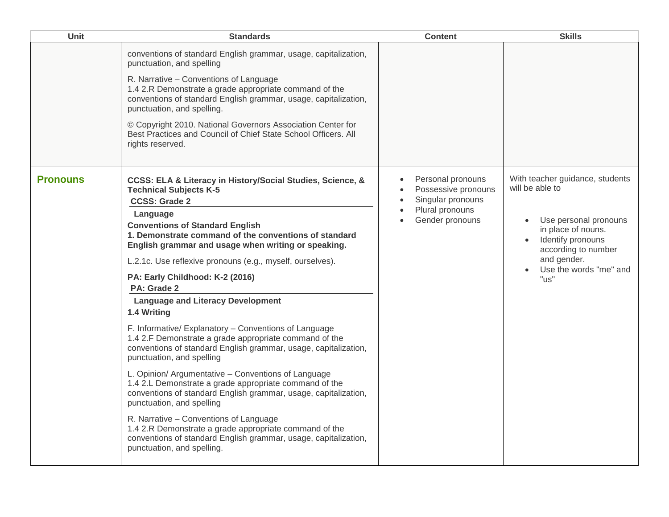| Unit            | <b>Standards</b>                                                                                                                                                                                                                                                                                                                                                                                                                                                                                                                                                                                                                                    | <b>Content</b>                                                                                      | <b>Skills</b>                                                                                                                                                                                  |
|-----------------|-----------------------------------------------------------------------------------------------------------------------------------------------------------------------------------------------------------------------------------------------------------------------------------------------------------------------------------------------------------------------------------------------------------------------------------------------------------------------------------------------------------------------------------------------------------------------------------------------------------------------------------------------------|-----------------------------------------------------------------------------------------------------|------------------------------------------------------------------------------------------------------------------------------------------------------------------------------------------------|
|                 | conventions of standard English grammar, usage, capitalization,<br>punctuation, and spelling<br>R. Narrative - Conventions of Language<br>1.4 2.R Demonstrate a grade appropriate command of the<br>conventions of standard English grammar, usage, capitalization,<br>punctuation, and spelling.<br>© Copyright 2010. National Governors Association Center for<br>Best Practices and Council of Chief State School Officers. All<br>rights reserved.                                                                                                                                                                                              |                                                                                                     |                                                                                                                                                                                                |
| <b>Pronouns</b> | CCSS: ELA & Literacy in History/Social Studies, Science, &<br><b>Technical Subjects K-5</b><br><b>CCSS: Grade 2</b><br>Language<br><b>Conventions of Standard English</b><br>1. Demonstrate command of the conventions of standard<br>English grammar and usage when writing or speaking.<br>L.2.1c. Use reflexive pronouns (e.g., myself, ourselves).<br>PA: Early Childhood: K-2 (2016)<br>PA: Grade 2<br><b>Language and Literacy Development</b>                                                                                                                                                                                                | Personal pronouns<br>Possessive pronouns<br>Singular pronouns<br>Plural pronouns<br>Gender pronouns | With teacher guidance, students<br>will be able to<br>Use personal pronouns<br>in place of nouns.<br>Identify pronouns<br>according to number<br>and gender.<br>Use the words "me" and<br>"us" |
|                 | 1.4 Writing<br>F. Informative/Explanatory - Conventions of Language<br>1.4 2.F Demonstrate a grade appropriate command of the<br>conventions of standard English grammar, usage, capitalization,<br>punctuation, and spelling<br>L. Opinion/ Argumentative - Conventions of Language<br>1.4 2.L Demonstrate a grade appropriate command of the<br>conventions of standard English grammar, usage, capitalization,<br>punctuation, and spelling<br>R. Narrative - Conventions of Language<br>1.4 2.R Demonstrate a grade appropriate command of the<br>conventions of standard English grammar, usage, capitalization,<br>punctuation, and spelling. |                                                                                                     |                                                                                                                                                                                                |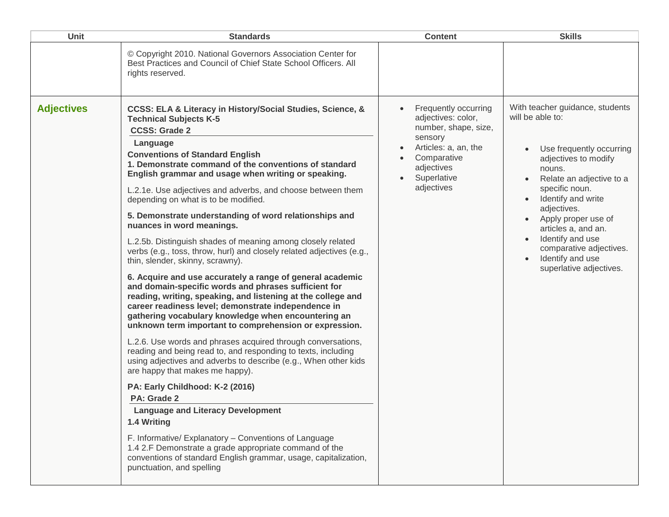| <b>Unit</b>       | <b>Standards</b>                                                                                                                                                                                                                                                                                                                                                                                                                                                                                                                                                                                                                                                                                                                                                                                                                                                                                                                                                                                                                                                                                                                                                                                                                                                                                                                                                                                                                                                                                                                                                                                        | <b>Content</b>                                                                                                                                                  | <b>Skills</b>                                                                                                                                                                                                                                                                                                                                    |
|-------------------|---------------------------------------------------------------------------------------------------------------------------------------------------------------------------------------------------------------------------------------------------------------------------------------------------------------------------------------------------------------------------------------------------------------------------------------------------------------------------------------------------------------------------------------------------------------------------------------------------------------------------------------------------------------------------------------------------------------------------------------------------------------------------------------------------------------------------------------------------------------------------------------------------------------------------------------------------------------------------------------------------------------------------------------------------------------------------------------------------------------------------------------------------------------------------------------------------------------------------------------------------------------------------------------------------------------------------------------------------------------------------------------------------------------------------------------------------------------------------------------------------------------------------------------------------------------------------------------------------------|-----------------------------------------------------------------------------------------------------------------------------------------------------------------|--------------------------------------------------------------------------------------------------------------------------------------------------------------------------------------------------------------------------------------------------------------------------------------------------------------------------------------------------|
|                   | © Copyright 2010. National Governors Association Center for<br>Best Practices and Council of Chief State School Officers, All<br>rights reserved.                                                                                                                                                                                                                                                                                                                                                                                                                                                                                                                                                                                                                                                                                                                                                                                                                                                                                                                                                                                                                                                                                                                                                                                                                                                                                                                                                                                                                                                       |                                                                                                                                                                 |                                                                                                                                                                                                                                                                                                                                                  |
| <b>Adjectives</b> | CCSS: ELA & Literacy in History/Social Studies, Science, &<br><b>Technical Subjects K-5</b><br><b>CCSS: Grade 2</b><br>Language<br><b>Conventions of Standard English</b><br>1. Demonstrate command of the conventions of standard<br>English grammar and usage when writing or speaking.<br>L.2.1e. Use adjectives and adverbs, and choose between them<br>depending on what is to be modified.<br>5. Demonstrate understanding of word relationships and<br>nuances in word meanings.<br>L.2.5b. Distinguish shades of meaning among closely related<br>verbs (e.g., toss, throw, hurl) and closely related adjectives (e.g.,<br>thin, slender, skinny, scrawny).<br>6. Acquire and use accurately a range of general academic<br>and domain-specific words and phrases sufficient for<br>reading, writing, speaking, and listening at the college and<br>career readiness level; demonstrate independence in<br>gathering vocabulary knowledge when encountering an<br>unknown term important to comprehension or expression.<br>L.2.6. Use words and phrases acquired through conversations,<br>reading and being read to, and responding to texts, including<br>using adjectives and adverbs to describe (e.g., When other kids<br>are happy that makes me happy).<br>PA: Early Childhood: K-2 (2016)<br>PA: Grade 2<br><b>Language and Literacy Development</b><br>1.4 Writing<br>F. Informative/ Explanatory - Conventions of Language<br>1.4 2.F Demonstrate a grade appropriate command of the<br>conventions of standard English grammar, usage, capitalization,<br>punctuation, and spelling | Frequently occurring<br>adjectives: color,<br>number, shape, size,<br>sensory<br>Articles: a, an, the<br>Comparative<br>adjectives<br>Superlative<br>adjectives | With teacher guidance, students<br>will be able to:<br>Use frequently occurring<br>adjectives to modify<br>nouns.<br>Relate an adjective to a<br>specific noun.<br>Identify and write<br>adjectives.<br>Apply proper use of<br>articles a, and an.<br>Identify and use<br>comparative adjectives.<br>Identify and use<br>superlative adjectives. |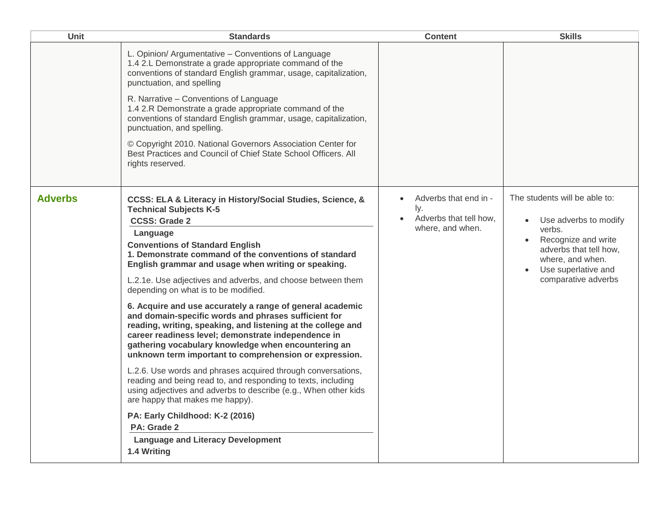| <b>Unit</b>    | <b>Standards</b>                                                                                                                                                                                                                                                                                                                                          | <b>Content</b>                                                                   | <b>Skills</b>                                                                                      |
|----------------|-----------------------------------------------------------------------------------------------------------------------------------------------------------------------------------------------------------------------------------------------------------------------------------------------------------------------------------------------------------|----------------------------------------------------------------------------------|----------------------------------------------------------------------------------------------------|
|                | L. Opinion/ Argumentative - Conventions of Language<br>1.4 2.L Demonstrate a grade appropriate command of the<br>conventions of standard English grammar, usage, capitalization,<br>punctuation, and spelling                                                                                                                                             |                                                                                  |                                                                                                    |
|                | R. Narrative - Conventions of Language<br>1.4 2.R Demonstrate a grade appropriate command of the<br>conventions of standard English grammar, usage, capitalization,<br>punctuation, and spelling.                                                                                                                                                         |                                                                                  |                                                                                                    |
|                | © Copyright 2010. National Governors Association Center for<br>Best Practices and Council of Chief State School Officers. All<br>rights reserved.                                                                                                                                                                                                         |                                                                                  |                                                                                                    |
| <b>Adverbs</b> | CCSS: ELA & Literacy in History/Social Studies, Science, &<br><b>Technical Subjects K-5</b><br><b>CCSS: Grade 2</b>                                                                                                                                                                                                                                       | Adverbs that end in -<br>$\bullet$<br>ly.<br>Adverbs that tell how.<br>$\bullet$ | The students will be able to:<br>Use adverbs to modify                                             |
|                | Language<br><b>Conventions of Standard English</b><br>1. Demonstrate command of the conventions of standard<br>English grammar and usage when writing or speaking.                                                                                                                                                                                        | where, and when.                                                                 | verbs.<br>Recognize and write<br>adverbs that tell how,<br>where, and when.<br>Use superlative and |
|                | L.2.1e. Use adjectives and adverbs, and choose between them<br>depending on what is to be modified.                                                                                                                                                                                                                                                       |                                                                                  | comparative adverbs                                                                                |
|                | 6. Acquire and use accurately a range of general academic<br>and domain-specific words and phrases sufficient for<br>reading, writing, speaking, and listening at the college and<br>career readiness level; demonstrate independence in<br>gathering vocabulary knowledge when encountering an<br>unknown term important to comprehension or expression. |                                                                                  |                                                                                                    |
|                | L.2.6. Use words and phrases acquired through conversations,<br>reading and being read to, and responding to texts, including<br>using adjectives and adverbs to describe (e.g., When other kids<br>are happy that makes me happy).                                                                                                                       |                                                                                  |                                                                                                    |
|                | PA: Early Childhood: K-2 (2016)<br>PA: Grade 2                                                                                                                                                                                                                                                                                                            |                                                                                  |                                                                                                    |
|                | <b>Language and Literacy Development</b><br>1.4 Writing                                                                                                                                                                                                                                                                                                   |                                                                                  |                                                                                                    |